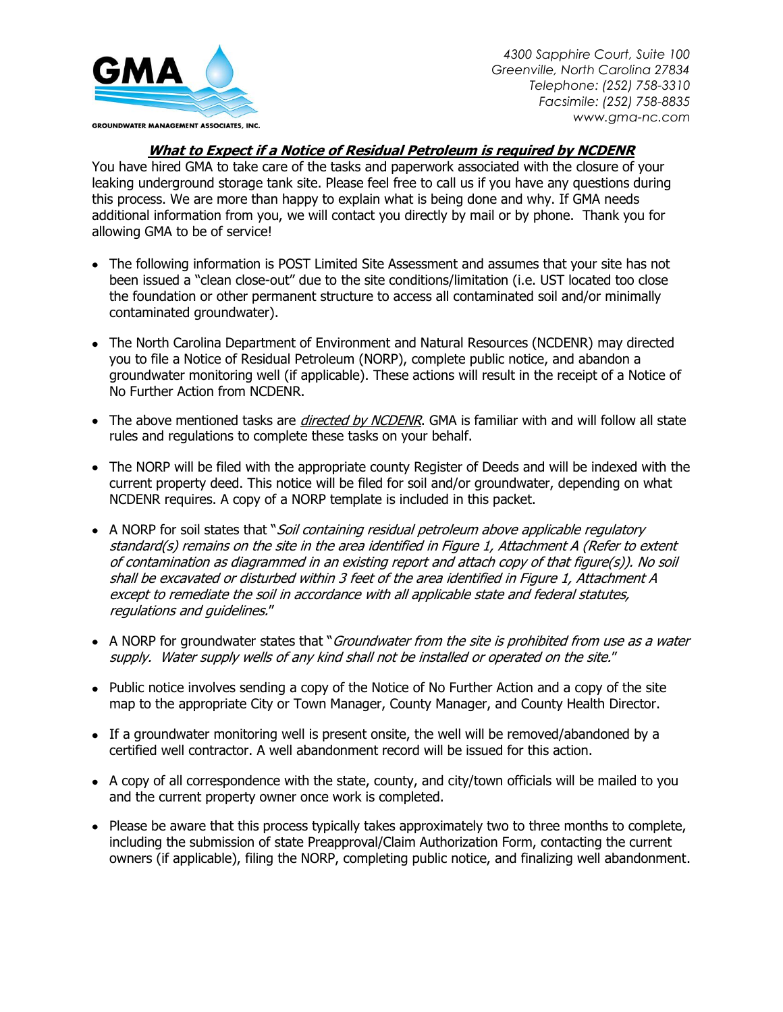

*4300 Sapphire Court, Suite 100 Greenville, North Carolina 27834 Telephone: (252) 758-3310 Facsimile: (252) 758-8835 www.gma-nc.com*

## **What to Expect if a Notice of Residual Petroleum is required by NCDENR**

You have hired GMA to take care of the tasks and paperwork associated with the closure of your leaking underground storage tank site. Please feel free to call us if you have any questions during this process. We are more than happy to explain what is being done and why. If GMA needs additional information from you, we will contact you directly by mail or by phone. Thank you for allowing GMA to be of service!

- The following information is POST Limited Site Assessment and assumes that your site has not been issued a "clean close-out" due to the site conditions/limitation (i.e. UST located too close the foundation or other permanent structure to access all contaminated soil and/or minimally contaminated groundwater).
- The North Carolina Department of Environment and Natural Resources (NCDENR) may directed you to file a Notice of Residual Petroleum (NORP), complete public notice, and abandon a groundwater monitoring well (if applicable). These actions will result in the receipt of a Notice of No Further Action from NCDENR.
- The above mentioned tasks are *directed by NCDENR*. GMA is familiar with and will follow all state rules and regulations to complete these tasks on your behalf.
- The NORP will be filed with the appropriate county Register of Deeds and will be indexed with the current property deed. This notice will be filed for soil and/or groundwater, depending on what NCDENR requires. A copy of a NORP template is included in this packet.
- A NORP for soil states that "Soil containing residual petroleum above applicable regulatory standard(s) remains on the site in the area identified in Figure 1, Attachment A (Refer to extent of contamination as diagrammed in an existing report and attach copy of that figure(s)). No soil shall be excavated or disturbed within 3 feet of the area identified in Figure 1, Attachment A except to remediate the soil in accordance with all applicable state and federal statutes, regulations and guidelines."
- A NORP for groundwater states that "Groundwater from the site is prohibited from use as a water supply. Water supply wells of any kind shall not be installed or operated on the site."
- Public notice involves sending a copy of the Notice of No Further Action and a copy of the site map to the appropriate City or Town Manager, County Manager, and County Health Director.
- If a groundwater monitoring well is present onsite, the well will be removed/abandoned by a certified well contractor. A well abandonment record will be issued for this action.
- A copy of all correspondence with the state, county, and city/town officials will be mailed to you and the current property owner once work is completed.
- Please be aware that this process typically takes approximately two to three months to complete, including the submission of state Preapproval/Claim Authorization Form, contacting the current owners (if applicable), filing the NORP, completing public notice, and finalizing well abandonment.